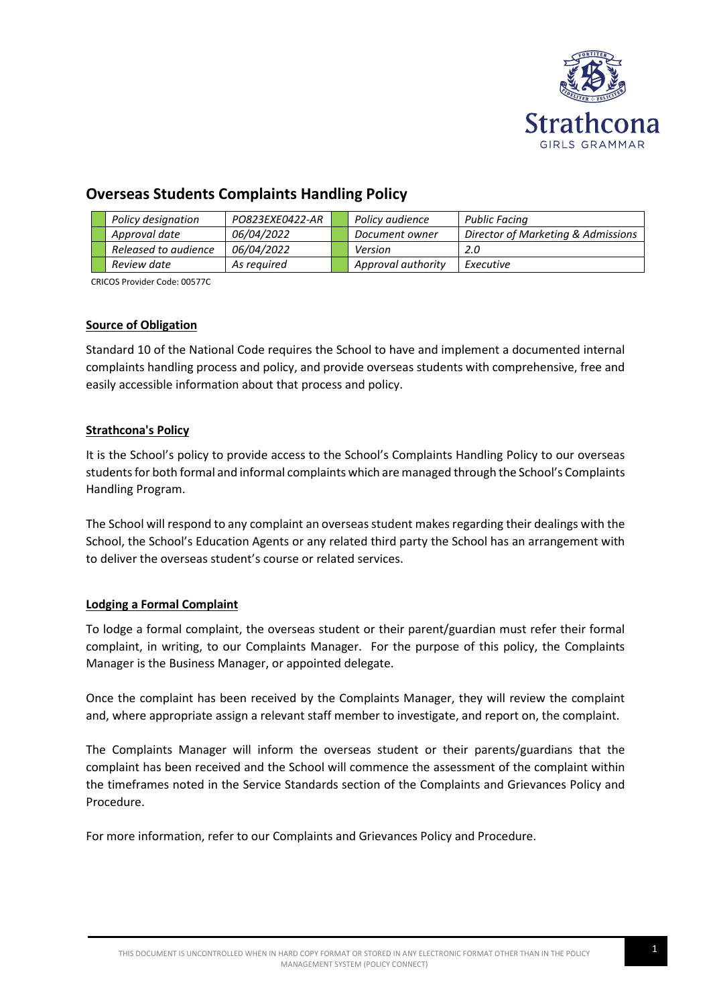

# **Overseas Students Complaints Handling Policy**

|  | Policy designation   | PO823EXE0422-AR | Policy audience    | Public Facing                      |
|--|----------------------|-----------------|--------------------|------------------------------------|
|  | Approval date        | 06/04/2022      | Document owner     | Director of Marketing & Admissions |
|  | Released to audience | 06/04/2022      | Version            | 2.0                                |
|  | Review date          | As reauired     | Approval authority | Executive                          |

CRICOS Provider Code: 00577C

## **Source of Obligation**

Standard 10 of the National Code requires the School to have and implement a documented internal complaints handling process and policy, and provide overseas students with comprehensive, free and easily accessible information about that process and policy.

## **Strathcona's Policy**

It is the School's policy to provide access to the School's Complaints Handling Policy to our overseas students for both formal and informal complaints which are managed through the School's Complaints Handling Program.

The School will respond to any complaint an overseas student makes regarding their dealings with the School, the School's Education Agents or any related third party the School has an arrangement with to deliver the overseas student's course or related services.

## **Lodging a Formal Complaint**

To lodge a formal complaint, the overseas student or their parent/guardian must refer their formal complaint, in writing, to our Complaints Manager. For the purpose of this policy, the Complaints Manager is the Business Manager, or appointed delegate.

Once the complaint has been received by the Complaints Manager, they will review the complaint and, where appropriate assign a relevant staff member to investigate, and report on, the complaint.

The Complaints Manager will inform the overseas student or their parents/guardians that the complaint has been received and the School will commence the assessment of the complaint within the timeframes noted in the Service Standards section of the Complaints and Grievances Policy and Procedure.

For more information, refer to our Complaints and Grievances Policy and Procedure.